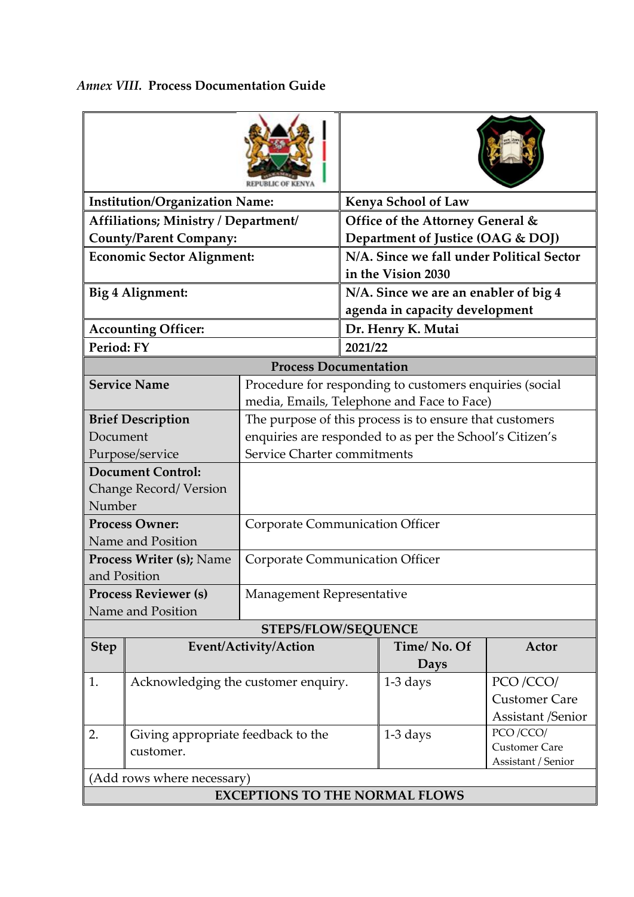| <b>Institution/Organization Name:</b>                       |                                                 |                                                                                                       | <b>Kenya School of Law</b>                                      |                                                         |                                                              |  |  |  |
|-------------------------------------------------------------|-------------------------------------------------|-------------------------------------------------------------------------------------------------------|-----------------------------------------------------------------|---------------------------------------------------------|--------------------------------------------------------------|--|--|--|
| Affiliations; Ministry / Department/                        |                                                 |                                                                                                       |                                                                 | Office of the Attorney General &                        |                                                              |  |  |  |
| <b>County/Parent Company:</b>                               |                                                 |                                                                                                       | Department of Justice (OAG & DOJ)                               |                                                         |                                                              |  |  |  |
| <b>Economic Sector Alignment:</b>                           |                                                 |                                                                                                       | N/A. Since we fall under Political Sector<br>in the Vision 2030 |                                                         |                                                              |  |  |  |
| Big 4 Alignment:                                            |                                                 |                                                                                                       | N/A. Since we are an enabler of big 4                           |                                                         |                                                              |  |  |  |
|                                                             |                                                 |                                                                                                       | agenda in capacity development                                  |                                                         |                                                              |  |  |  |
| <b>Accounting Officer:</b>                                  |                                                 |                                                                                                       | Dr. Henry K. Mutai                                              |                                                         |                                                              |  |  |  |
| Period: FY                                                  |                                                 |                                                                                                       |                                                                 | 2021/22                                                 |                                                              |  |  |  |
| <b>Process Documentation</b>                                |                                                 |                                                                                                       |                                                                 |                                                         |                                                              |  |  |  |
|                                                             | <b>Service Name</b>                             | Procedure for responding to customers enquiries (social<br>media, Emails, Telephone and Face to Face) |                                                                 |                                                         |                                                              |  |  |  |
|                                                             | <b>Brief Description</b>                        | The purpose of this process is to ensure that customers                                               |                                                                 |                                                         |                                                              |  |  |  |
| Document                                                    |                                                 | enquiries are responded to as per the School's Citizen's                                              |                                                                 |                                                         |                                                              |  |  |  |
| Purpose/service                                             |                                                 | Service Charter commitments                                                                           |                                                                 |                                                         |                                                              |  |  |  |
| <b>Document Control:</b><br>Change Record/Version<br>Number |                                                 |                                                                                                       |                                                                 |                                                         |                                                              |  |  |  |
| <b>Process Owner:</b><br>Name and Position                  |                                                 | <b>Corporate Communication Officer</b>                                                                |                                                                 |                                                         |                                                              |  |  |  |
| Process Writer (s); Name<br>and Position                    |                                                 | <b>Corporate Communication Officer</b>                                                                |                                                                 |                                                         |                                                              |  |  |  |
| <b>Process Reviewer (s)</b><br>Name and Position            |                                                 | Management Representative                                                                             |                                                                 |                                                         |                                                              |  |  |  |
|                                                             |                                                 | <b>STEPS/FLOW/SEQUENCE</b>                                                                            |                                                                 |                                                         |                                                              |  |  |  |
| <b>Step</b>                                                 |                                                 | Event/Activity/Action                                                                                 |                                                                 | Time/No. Of<br>Days                                     | Actor                                                        |  |  |  |
| 1.                                                          | Acknowledging the customer enquiry.             |                                                                                                       |                                                                 | $1-3$ days                                              | PCO/CCO/<br><b>Customer Care</b><br><b>Assistant /Senior</b> |  |  |  |
| 2.                                                          | Giving appropriate feedback to the<br>customer. |                                                                                                       | $1-3$ days                                                      | PCO /CCO/<br><b>Customer Care</b><br>Assistant / Senior |                                                              |  |  |  |
|                                                             | (Add rows where necessary)                      |                                                                                                       |                                                                 |                                                         |                                                              |  |  |  |
| <b>EXCEPTIONS TO THE NORMAL FLOWS</b>                       |                                                 |                                                                                                       |                                                                 |                                                         |                                                              |  |  |  |

## *Annex VIII.* **Process Documentation Guide**